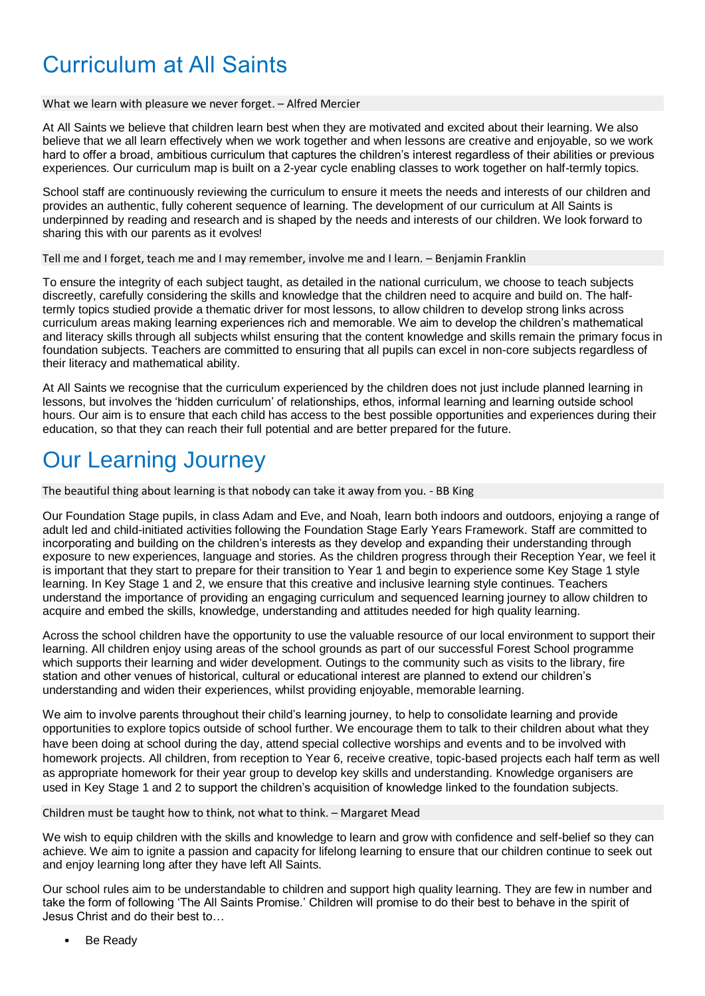# Curriculum at All Saints

#### What we learn with pleasure we never forget. – Alfred Mercier

At All Saints we believe that children learn best when they are motivated and excited about their learning. We also believe that we all learn effectively when we work together and when lessons are creative and enjoyable, so we work hard to offer a broad, ambitious curriculum that captures the children's interest regardless of their abilities or previous experiences. Our curriculum map is built on a 2-year cycle enabling classes to work together on half-termly topics.

School staff are continuously reviewing the curriculum to ensure it meets the needs and interests of our children and provides an authentic, fully coherent sequence of learning. The development of our curriculum at All Saints is underpinned by reading and research and is shaped by the needs and interests of our children. We look forward to sharing this with our parents as it evolves!

Tell me and I forget, teach me and I may remember, involve me and I learn. – Benjamin Franklin

To ensure the integrity of each subject taught, as detailed in the national curriculum, we choose to teach subjects discreetly, carefully considering the skills and knowledge that the children need to acquire and build on. The halftermly topics studied provide a thematic driver for most lessons, to allow children to develop strong links across curriculum areas making learning experiences rich and memorable. We aim to develop the children's mathematical and literacy skills through all subjects whilst ensuring that the content knowledge and skills remain the primary focus in foundation subjects. Teachers are committed to ensuring that all pupils can excel in non-core subjects regardless of their literacy and mathematical ability.

At All Saints we recognise that the curriculum experienced by the children does not just include planned learning in lessons, but involves the 'hidden curriculum' of relationships, ethos, informal learning and learning outside school hours. Our aim is to ensure that each child has access to the best possible opportunities and experiences during their education, so that they can reach their full potential and are better prepared for the future.

## Our Learning Journey

The beautiful thing about learning is that nobody can take it away from you. - BB King

Our Foundation Stage pupils, in class Adam and Eve, and Noah, learn both indoors and outdoors, enjoying a range of adult led and child-initiated activities following the Foundation Stage Early Years Framework. Staff are committed to incorporating and building on the children's interests as they develop and expanding their understanding through exposure to new experiences, language and stories. As the children progress through their Reception Year, we feel it is important that they start to prepare for their transition to Year 1 and begin to experience some Key Stage 1 style learning. In Key Stage 1 and 2, we ensure that this creative and inclusive learning style continues. Teachers understand the importance of providing an engaging curriculum and sequenced learning journey to allow children to acquire and embed the skills, knowledge, understanding and attitudes needed for high quality learning.

Across the school children have the opportunity to use the valuable resource of our local environment to support their learning. All children enjoy using areas of the school grounds as part of our successful Forest School programme which supports their learning and wider development. Outings to the community such as visits to the library, fire station and other venues of historical, cultural or educational interest are planned to extend our children's understanding and widen their experiences, whilst providing enjoyable, memorable learning.

We aim to involve parents throughout their child's learning journey, to help to consolidate learning and provide opportunities to explore topics outside of school further. We encourage them to talk to their children about what they have been doing at school during the day, attend special collective worships and events and to be involved with homework projects. All children, from reception to Year 6, receive creative, topic-based projects each half term as well as appropriate homework for their year group to develop key skills and understanding. Knowledge organisers are used in Key Stage 1 and 2 to support the children's acquisition of knowledge linked to the foundation subjects.

Children must be taught how to think, not what to think. – Margaret Mead

We wish to equip children with the skills and knowledge to learn and grow with confidence and self-belief so they can achieve. We aim to ignite a passion and capacity for lifelong learning to ensure that our children continue to seek out and enjoy learning long after they have left All Saints.

Our school rules aim to be understandable to children and support high quality learning. They are few in number and take the form of following 'The All Saints Promise.' Children will promise to do their best to behave in the spirit of Jesus Christ and do their best to…

Be Ready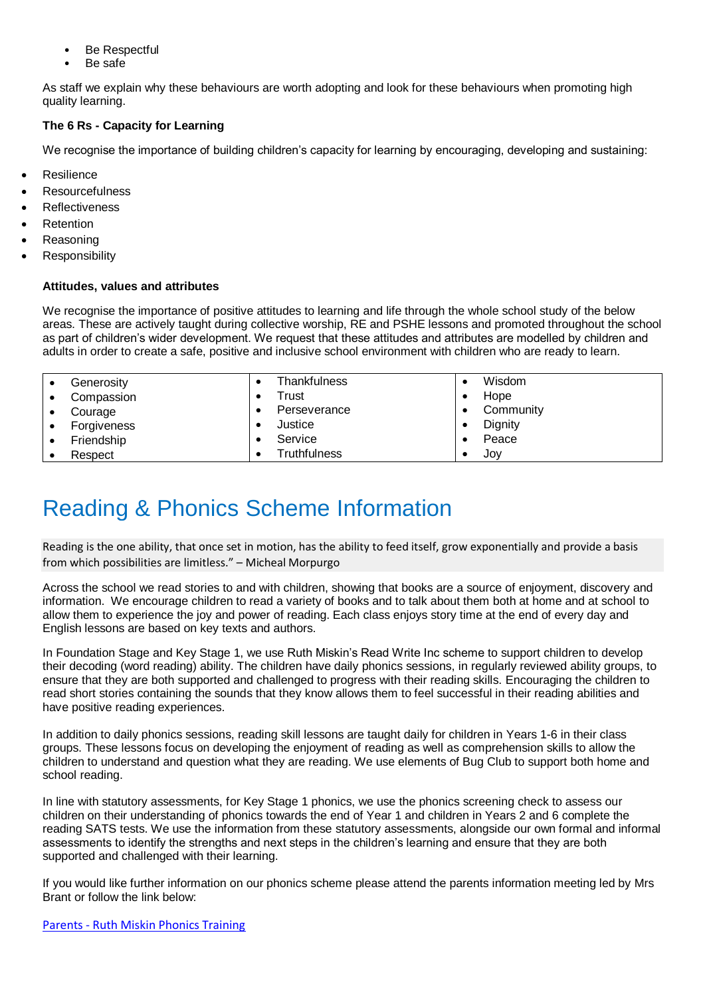- Be Respectful
- Be safe

As staff we explain why these behaviours are worth adopting and look for these behaviours when promoting high quality learning.

### **The 6 Rs - Capacity for Learning**

We recognise the importance of building children's capacity for learning by encouraging, developing and sustaining:

- **Resilience**
- **Resourcefulness**
- **Reflectiveness**
- **Retention**
- **Reasoning**
- **Responsibility**

#### **Attitudes, values and attributes**

We recognise the importance of positive attitudes to learning and life through the whole school study of the below areas. These are actively taught during collective worship, RE and PSHE lessons and promoted throughout the school as part of children's wider development. We request that these attitudes and attributes are modelled by children and adults in order to create a safe, positive and inclusive school environment with children who are ready to learn.

|   | Generosity  | Thankfulness | Wisdom    |
|---|-------------|--------------|-----------|
| ٠ | Compassion  | Trust        | Hope      |
|   | Courage     | Perseverance | Community |
| ٠ | Forgiveness | Justice      | Dignity   |
| ٠ | Friendship  | Service      | Peace     |
|   | Respect     | Truthfulness | JOV       |

## Reading & Phonics Scheme Information

Reading is the one ability, that once set in motion, has the ability to feed itself, grow exponentially and provide a basis from which possibilities are limitless." – Micheal Morpurgo

Across the school we read stories to and with children, showing that books are a source of enjoyment, discovery and information. We encourage children to read a variety of books and to talk about them both at home and at school to allow them to experience the joy and power of reading. Each class enjoys story time at the end of every day and English lessons are based on key texts and authors.

In Foundation Stage and Key Stage 1, we use Ruth Miskin's Read Write Inc scheme to support children to develop their decoding (word reading) ability. The children have daily phonics sessions, in regularly reviewed ability groups, to ensure that they are both supported and challenged to progress with their reading skills. Encouraging the children to read short stories containing the sounds that they know allows them to feel successful in their reading abilities and have positive reading experiences.

In addition to daily phonics sessions, reading skill lessons are taught daily for children in Years 1-6 in their class groups. These lessons focus on developing the enjoyment of reading as well as comprehension skills to allow the children to understand and question what they are reading. We use elements of Bug Club to support both home and school reading.

In line with statutory assessments, for Key Stage 1 phonics, we use the phonics screening check to assess our children on their understanding of phonics towards the end of Year 1 and children in Years 2 and 6 complete the reading SATS tests. We use the information from these statutory assessments, alongside our own formal and informal assessments to identify the strengths and next steps in the children's learning and ensure that they are both supported and challenged with their learning.

If you would like further information on our phonics scheme please attend the parents information meeting led by Mrs Brant or follow the link below:

Parents - [Ruth Miskin Phonics Training](https://www.ruthmiskin.com/en/parents-copy-2/)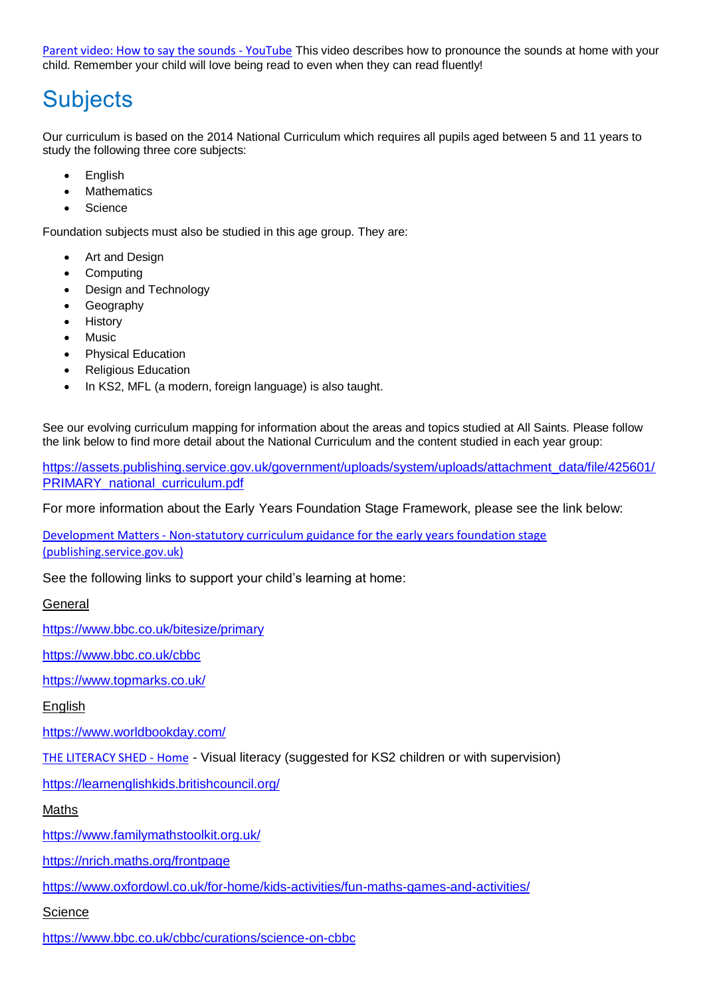[Parent video: How to say the sounds -](https://www.youtube.com/watch?v=TkXcabDUg7Q) YouTube This video describes how to pronounce the sounds at home with your child. Remember your child will love being read to even when they can read fluently!

## **Subjects**

Our curriculum is based on the 2014 National Curriculum which requires all pupils aged between 5 and 11 years to study the following three core subjects:

- **English**
- **Mathematics**
- **Science**

Foundation subjects must also be studied in this age group. They are:

- Art and Design
- Computing
- Design and Technology
- **Geography**
- **History**
- **Music**
- Physical Education
- Religious Education
- In KS2, MFL (a modern, foreign language) is also taught.

See our evolving curriculum mapping for information about the areas and topics studied at All Saints. Please follow the link below to find more detail about the National Curriculum and the content studied in each year group:

[https://assets.publishing.service.gov.uk/government/uploads/system/uploads/attachment\\_data/file/425601/](https://assets.publishing.service.gov.uk/government/uploads/system/uploads/attachment_data/file/425601/PRIMARY_national_curriculum.pdf) [PRIMARY\\_national\\_curriculum.pdf](https://assets.publishing.service.gov.uk/government/uploads/system/uploads/attachment_data/file/425601/PRIMARY_national_curriculum.pdf)

For more information about the Early Years Foundation Stage Framework, please see the link below:

Development Matters - [Non-statutory curriculum guidance for the early years foundation stage](https://assets.publishing.service.gov.uk/government/uploads/system/uploads/attachment_data/file/1007446/6.7534_DfE_Development_Matters_Report_and_illustrations_web__2_.pdf)  [\(publishing.service.gov.uk\)](https://assets.publishing.service.gov.uk/government/uploads/system/uploads/attachment_data/file/1007446/6.7534_DfE_Development_Matters_Report_and_illustrations_web__2_.pdf)

See the following links to support your child's learning at home:

General

<https://www.bbc.co.uk/bitesize/primary>

<https://www.bbc.co.uk/cbbc>

<https://www.topmarks.co.uk/>

**English** 

<https://www.worldbookday.com/>

[THE LITERACY SHED -](https://www.literacyshed.com/) Home - Visual literacy (suggested for KS2 children or with supervision)

<https://learnenglishkids.britishcouncil.org/>

Maths

<https://www.familymathstoolkit.org.uk/>

<https://nrich.maths.org/frontpage>

<https://www.oxfordowl.co.uk/for-home/kids-activities/fun-maths-games-and-activities/>

**Science** 

<https://www.bbc.co.uk/cbbc/curations/science-on-cbbc>